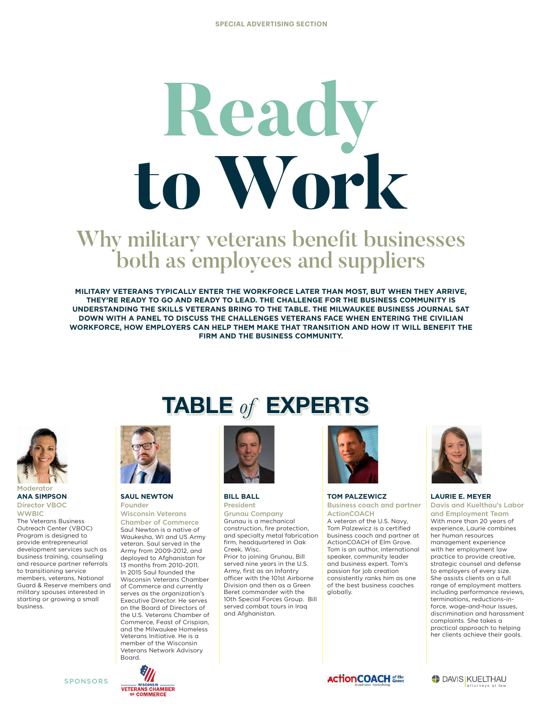# **Read to Work**

# Why military veterans benefit businesses both as employees and suppliers

**MILITARY VETERANS TYPICALLY ENTER THE WORKFORCE LATER THAN MOST, BUT WHEN THEY ARRIVE, THEY'RE READY TO GO AND READY TO LEAD. THE CHALLENGE FOR THE BUSINESS COMMUNITY IS UNDERSTANDING THE SKILLS VETERANS BRING TO THE TABLE. THE MILWAUKEE BUSINESS JOURNAL SAT DOWN WITH A PANEL TO DISCUSS THE CHALLENGES VETERANS FACE WHEN ENTERING THE CIVILIAN WORKFORCE, HOW EMPLOYERS CAN HELP THEM MAKE THAT TRANSITION AND HOW IT WILL BENEFIT THE FIRM AND THE BUSINESS COMMUNITY.** 



#### **ANA SIMPSON** Director VBOC

**WWBIC** The Veterans Business Outreach Center (VBOC) Program is designed to provide entrepreneurial development services such as business training, counseling and resource partner referrals to transitioning service members, veterans, National Guard & Reserve members and military spouses interested in starting or growing a small business.

SPONSORS

# **TABLE** *of* **EXPERTS**



#### **SAUL NEWTON** Founder

Wisconsin Veterans Chamber of Commerce Saul Newton is a native of Waukesha, WI and US Army veteran. Saul served in the Army from 2009-2012, and deployed to Afghanistan for 13 months from 2010-2011. In 2015 Saul founded the Wisconsin Veterans Chamber of Commerce and currently serves as the organization's Executive Director. He serves on the Board of Directors of the U.S. Veterans Chamber of Commerce, Feast of Crispian, and the Milwaukee Homeless Veterans Initiative. He is a member of the Wisconsin Veterans Network Advisory Board.



#### **BILL BALL** President

Grunau Company Grunau is a mechanical construction, fire protection, and specialty metal fabrication firm, headquartered in Oak Creek, Wisc. Prior to joining Grunau, Bill served nine years in the U.S. Army, first as an Infantry officer with the 101st Airborne Division and then as a Green Beret commander with the 10th Special Forces Group. Bill served combat tours in Iraq and Afghanistan.



#### **TOM PALZEWICZ** Business coach and partner

ActionCOACH A veteran of the U.S. Navy, Tom Palzewicz is a certified business coach and partner at ActionCOACH of Elm Grove. Tom is an author, international speaker, community leader and business expert. Tom's passion for job creation consistently ranks him as one of the best business coaches globally.



#### **LAURIE E. MEYER**

Davis and Kuelthau's Labor and Employment Team With more than 20 years of experience, Laurie combines her human resources management experience with her employment law practice to provide creative, strategic counsel and defense to employers of every size. She assists clients on a full range of employment matters including performance reviews, terminations, reductions-inforce, wage-and-hour issues, discrimination and harassment complaints. She takes a practical approach to helping her clients achieve their goals.



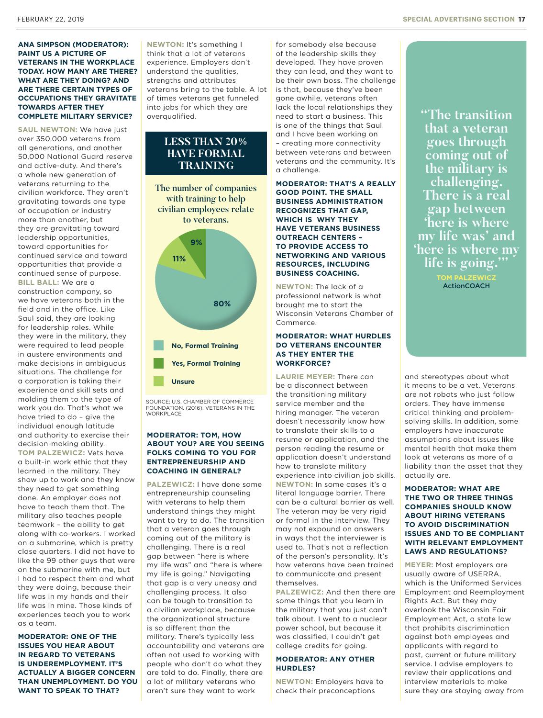#### **ANA SIMPSON (MODERATOR): PAINT US A PICTURE OF VETERANS IN THE WORKPLACE TODAY. HOW MANY ARE THERE? WHAT ARE THEY DOING? AND ARE THERE CERTAIN TYPES OF OCCUPATIONS THEY GRAVITATE TOWARDS AFTER THEY COMPLETE MILITARY SERVICE?**

**SAUL NEWTON:** We have just over 350,000 veterans from all generations, and another 50,000 National Guard reserve and active-duty. And there's a whole new generation of veterans returning to the civilian workforce. They aren't gravitating towards one type of occupation or industry more than another, but they are gravitating toward leadership opportunities, toward opportunities for continued service and toward opportunities that provide a continued sense of purpose. **BILL BALL:** We are a construction company, so we have veterans both in the field and in the office. Like Saul said, they are looking for leadership roles. While they were in the military, they were required to lead people in austere environments and make decisions in ambiguous situations. The challenge for a corporation is taking their experience and skill sets and molding them to the type of work you do. That's what we have tried to do – give the individual enough latitude and authority to exercise their decision-making ability.

**TOM PALZEWICZ:** Vets have a built-in work ethic that they learned in the military. They show up to work and they know they need to get something done. An employer does not have to teach them that. The military also teaches people teamwork – the ability to get along with co-workers. I worked on a submarine, which is pretty close quarters. I did not have to like the 99 other guys that were on the submarine with me, but I had to respect them and what they were doing, because their life was in my hands and their life was in mine. Those kinds of experiences teach you to work as a team.

**MODERATOR: ONE OF THE ISSUES YOU HEAR ABOUT IN REGARD TO VETERANS IS UNDEREMPLOYMENT. IT'S ACTUALLY A BIGGER CONCERN THAN UNEMPLOYMENT. DO YOU WANT TO SPEAK TO THAT?**

**NEWTON:** It's something I think that a lot of veterans experience. Employers don't understand the qualities, strengths and attributes veterans bring to the table. A lot of times veterans get funneled into jobs for which they are overqualified.

### **LESS THAN 20% HAVE FORMAL TRAINING**



SOURCE: U.S. CHAMBER OF COMMERCE FOUNDATION. (2016). VETERANS IN THE **WORKPLACE** 

#### **MODERATOR: TOM, HOW ABOUT YOU? ARE YOU SEEING FOLKS COMING TO YOU FOR ENTREPRENEURSHIP AND COACHING IN GENERAL?**

**PALZEWICZ:** I have done some entrepreneurship counseling with veterans to help them understand things they might want to try to do. The transition that a veteran goes through coming out of the military is challenging. There is a real gap between "here is where my life was" and "here is where my life is going." Navigating that gap is a very uneasy and challenging process. It also can be tough to transition to a civilian workplace, because the organizational structure is so different than the military. There's typically less accountability and veterans are often not used to working with people who don't do what they are told to do. Finally, there are a lot of military veterans who aren't sure they want to work

for somebody else because of the leadership skills they developed. They have proven they can lead, and they want to be their own boss. The challenge is that, because they've been gone awhile, veterans often lack the local relationships they need to start a business. This is one of the things that Saul and I have been working on – creating more connectivity between veterans and between veterans and the community. It's a challenge.

**MODERATOR: THAT'S A REALLY GOOD POINT. THE SMALL BUSINESS ADMINISTRATION RECOGNIZES THAT GAP, WHICH IS WHY THEY HAVE VETERANS BUSINESS OUTREACH CENTERS – TO PROVIDE ACCESS TO NETWORKING AND VARIOUS RESOURCES, INCLUDING BUSINESS COACHING.**

**NEWTON:** The lack of a professional network is what brought me to start the Wisconsin Veterans Chamber of Commerce.

#### **MODERATOR: WHAT HURDLES DO VETERANS ENCOUNTER AS THEY ENTER THE WORKFORCE?**

**LAURIE MEYER:** There can be a disconnect between the transitioning military service member and the hiring manager. The veteran doesn't necessarily know how to translate their skills to a resume or application, and the person reading the resume or application doesn't understand how to translate military experience into civilian job skills. **NEWTON:** In some cases it's a literal language barrier. There can be a cultural barrier as well. The veteran may be very rigid or formal in the interview. They may not expound on answers in ways that the interviewer is used to. That's not a reflection of the person's personality. It's how veterans have been trained to communicate and present themselves.

**PALZEWICZ:** And then there are some things that you learn in the military that you just can't talk about. I went to a nuclear power school, but because it was classified, I couldn't get college credits for going.

#### **MODERATOR: ANY OTHER HURDLES?**

**NEWTON:** Employers have to check their preconceptions

**"The transition that a veteran goes through coming out of the military is challenging. There is a real gap between 'here is where my life was' and 'here is where my life is going.'"**

> **TOM PALZEWICZ ActionCOACH**

and stereotypes about what it means to be a vet. Veterans are not robots who just follow orders. They have immense critical thinking and problemsolving skills. In addition, some employers have inaccurate assumptions about issues like mental health that make them look at veterans as more of a liability than the asset that they actually are.

#### **MODERATOR: WHAT ARE THE TWO OR THREE THINGS COMPANIES SHOULD KNOW ABOUT HIRING VETERANS TO AVOID DISCRIMINATION ISSUES AND TO BE COMPLIANT WITH RELEVANT EMPLOYMENT LAWS AND REGULATIONS?**

**MEYER:** Most employers are usually aware of USERRA, which is the Uniformed Services Employment and Reemployment Rights Act. But they may overlook the Wisconsin Fair Employment Act, a state law that prohibits discrimination against both employees and applicants with regard to past, current or future military service. I advise employers to review their applications and interview materials to make sure they are staying away from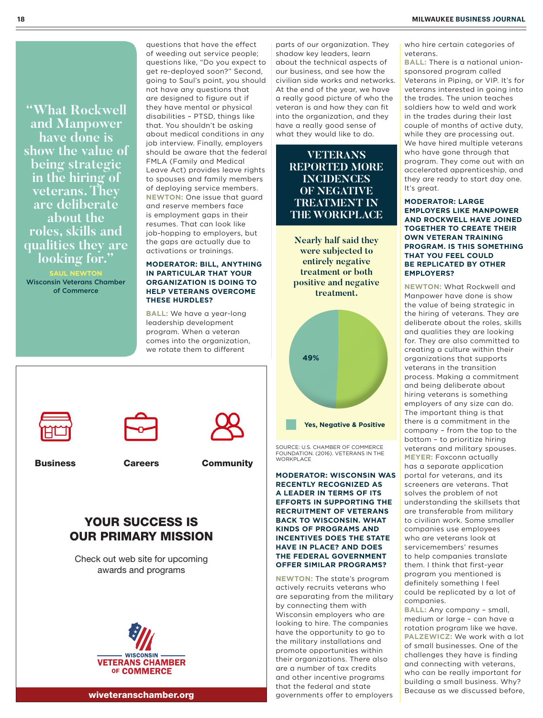#### **18 MILWAUKEE BUSINESS JOURNAL**

**"What Rockwell and Manpower have done is show the value of being strategic in the hiring of veterans. They are deliberate about the roles, skills and qualities they are looking for."**

**SAUL NEWTON** Wisconsin Veterans Chamber of Commerce

questions that have the effect of weeding out service people; questions like, "Do you expect to get re-deployed soon?" Second, going to Saul's point, you should not have any questions that are designed to figure out if they have mental or physical disabilities – PTSD, things like that. You shouldn't be asking about medical conditions in any job interview. Finally, employers should be aware that the federal FMLA (Family and Medical Leave Act) provides leave rights to spouses and family members of deploying service members. **NEWTON:** One issue that guard and reserve members face is employment gaps in their resumes. That can look like job-hopping to employers, but the gaps are actually due to activations or trainings.

#### **MODERATOR: BILL, ANYTHING IN PARTICULAR THAT YOUR ORGANIZATION IS DOING TO HELP VETERANS OVERCOME THESE HURDLES?**

**BALL:** We have a year-long leadership development program. When a veteran comes into the organization, we rotate them to different

parts of our organization. They shadow key leaders, learn about the technical aspects of our business, and see how the civilian side works and networks. At the end of the year, we have a really good picture of who the veteran is and how they can fit into the organization, and they have a really good sense of what they would like to do.

> **VETERANS REPORTED MORE INCIDENCES OF NEGATIVE TREATMENT IN THE WORKPLACE**

**Nearly half said they were subjected to entirely negative treatment or both positive and negative treatment.** 



SOURCE: U.S. CHAMBER OF COMMERCE FOUNDATION. (2016). VETERANS IN THE **WORKPLACE** 

**MODERATOR: WISCONSIN WAS RECENTLY RECOGNIZED AS A LEADER IN TERMS OF ITS EFFORTS IN SUPPORTING THE RECRUITMENT OF VETERANS BACK TO WISCONSIN. WHAT KINDS OF PROGRAMS AND INCENTIVES DOES THE STATE HAVE IN PLACE? AND DOES THE FEDERAL GOVERNMENT OFFER SIMILAR PROGRAMS?**

**NEWTON:** The state's program actively recruits veterans who are separating from the military by connecting them with Wisconsin employers who are looking to hire. The companies have the opportunity to go to the military installations and promote opportunities within their organizations. There also are a number of tax credits and other incentive programs that the federal and state governments offer to employers

who hire certain categories of veterans.

**BALL:** There is a national unionsponsored program called Veterans in Piping, or VIP. It's for veterans interested in going into the trades. The union teaches soldiers how to weld and work in the trades during their last couple of months of active duty, while they are processing out. We have hired multiple veterans who have gone through that program. They come out with an accelerated apprenticeship, and they are ready to start day one. It's great.

#### **MODERATOR: LARGE EMPLOYERS LIKE MANPOWER AND ROCKWELL HAVE JOINED TOGETHER TO CREATE THEIR OWN VETERAN TRAINING PROGRAM. IS THIS SOMETHING THAT YOU FEEL COULD BE REPLICATED BY OTHER EMPLOYERS?**

**NEWTON:** What Rockwell and Manpower have done is show the value of being strategic in the hiring of veterans. They are deliberate about the roles, skills and qualities they are looking for. They are also committed to creating a culture within their organizations that supports veterans in the transition process. Making a commitment and being deliberate about hiring veterans is something employers of any size can do. The important thing is that there is a commitment in the company – from the top to the bottom – to prioritize hiring veterans and military spouses. **MEYER:** Foxconn actually has a separate application portal for veterans, and its screeners are veterans. That solves the problem of not understanding the skillsets that are transferable from military to civilian work. Some smaller companies use employees who are veterans look at servicemembers' resumes to help companies translate them. I think that first-year program you mentioned is definitely something I feel could be replicated by a lot of companies.

**BALL:** Any company – small, medium or large – can have a rotation program like we have. **PALZEWICZ:** We work with a lot of small businesses. One of the challenges they have is finding and connecting with veterans, who can be really important for building a small business. Why? Because as we discussed before,



Business Careers Community

## YOUR SUCCESS IS OUR PRIMARY MISSION

Check out web site for upcoming awards and programs



wiveteranschamber.org